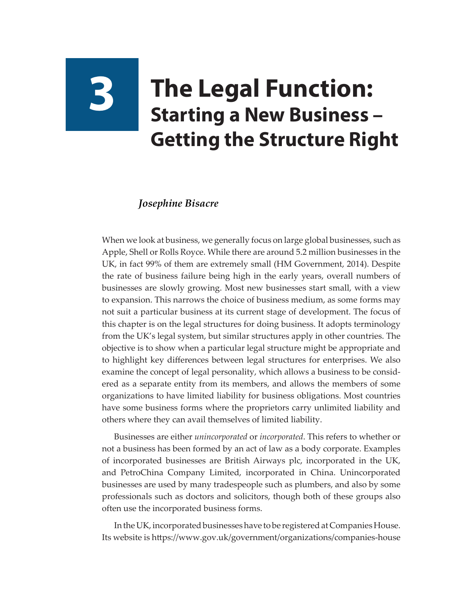# **3 The Legal Function: Starting a New Business – Getting the Structure Right**

#### *Josephine Bisacre*

When we look at business, we generally focus on large global businesses, such as Apple, Shell or Rolls Royce. While there are around 5.2 million businesses in the UK, in fact 99% of them are extremely small (HM Government, 2014). Despite the rate of business failure being high in the early years, overall numbers of businesses are slowly growing. Most new businesses start small, with a view to expansion. This narrows the choice of business medium, as some forms may not suit a particular business at its current stage of development. The focus of this chapter is on the legal structures for doing business. It adopts terminology from the UK's legal system, but similar structures apply in other countries. The objective is to show when a particular legal structure might be appropriate and to highlight key differences between legal structures for enterprises. We also examine the concept of legal personality, which allows a business to be considered as a separate entity from its members, and allows the members of some organizations to have limited liability for business obligations. Most countries have some business forms where the proprietors carry unlimited liability and others where they can avail themselves of limited liability.

Businesses are either *unincorporated* or *incorporated*. This refers to whether or not a business has been formed by an act of law as a body corporate. Examples of incorporated businesses are British Airways plc, incorporated in the UK, and PetroChina Company Limited, incorporated in China. Unincorporated businesses are used by many tradespeople such as plumbers, and also by some professionals such as doctors and solicitors, though both of these groups also often use the incorporated business forms.

In the UK, incorporated businesses have to be registered at Companies House. Its website is [https://www.gov.uk/government/organizations/companies-house](https://www.gov.uk/government/organisations/companies-house)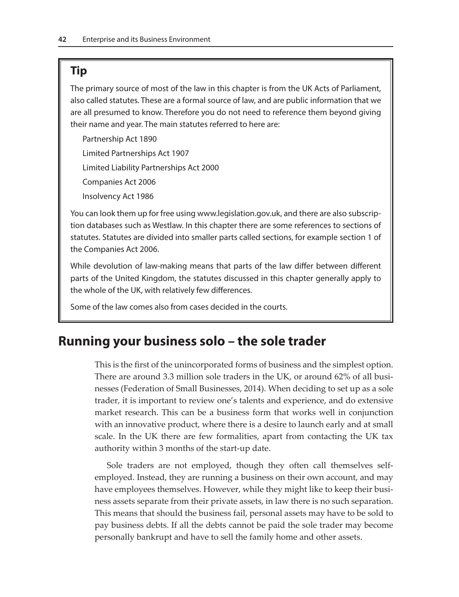# **Tip**

The primary source of most of the law in this chapter is from the UK Acts of Parliament, also called statutes. These are a formal source of law, and are public information that we are all presumed to know. Therefore you do not need to reference them beyond giving their name and year. The main statutes referred to here are:

Partnership Act 1890 Limited Partnerships Act 1907 Limited Liability Partnerships Act 2000 Companies Act 2006 Insolvency Act 1986

You can look them up for free using [www.legislation.gov.uk](http://www.legislation.gov.uk), and there are also subscription databases such as Westlaw. In this chapter there are some references to sections of statutes. Statutes are divided into smaller parts called sections, for example section 1 of the Companies Act 2006.

While devolution of law-making means that parts of the law differ between different parts of the United Kingdom, the statutes discussed in this chapter generally apply to the whole of the UK, with relatively few differences.

Some of the law comes also from cases decided in the courts.

# **Running your business solo – the sole trader**

This is the first of the unincorporated forms of business and the simplest option. There are around 3.3 million sole traders in the UK, or around 62% of all businesses (Federation of Small Businesses, 2014). When deciding to set up as a sole trader, it is important to review one's talents and experience, and do extensive market research. This can be a business form that works well in conjunction with an innovative product, where there is a desire to launch early and at small scale. In the UK there are few formalities, apart from contacting the UK tax authority within 3 months of the start-up date.

Sole traders are not employed, though they often call themselves selfemployed. Instead, they are running a business on their own account, and may have employees themselves. However, while they might like to keep their business assets separate from their private assets, in law there is no such separation. This means that should the business fail, personal assets may have to be sold to pay business debts. If all the debts cannot be paid the sole trader may become personally bankrupt and have to sell the family home and other assets.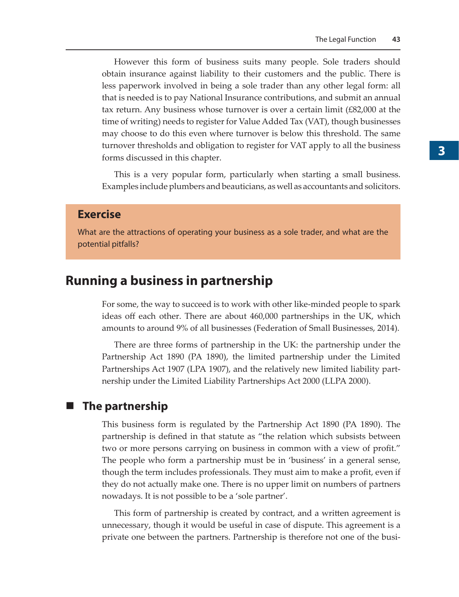However this form of business suits many people. Sole traders should obtain insurance against liability to their customers and the public. There is less paperwork involved in being a sole trader than any other legal form: all that is needed is to pay National Insurance contributions, and submit an annual tax return. Any business whose turnover is over a certain limit (£82,000 at the time of writing) needs to register for Value Added Tax (VAT), though businesses may choose to do this even where turnover is below this threshold. The same turnover thresholds and obligation to register for VAT apply to all the business forms discussed in this chapter.

This is a very popular form, particularly when starting a small business. Examples include plumbers and beauticians, as well as accountants and solicitors.

### **Exercise**

What are the attractions of operating your business as a sole trader, and what are the potential pitfalls?

## **Running a business in partnership**

For some, the way to succeed is to work with other like-minded people to spark ideas off each other. There are about 460,000 partnerships in the UK, which amounts to around 9% of all businesses (Federation of Small Businesses, 2014).

There are three forms of partnership in the UK: the partnership under the Partnership Act 1890 (PA 1890), the limited partnership under the Limited Partnerships Act 1907 (LPA 1907), and the relatively new limited liability partnership under the Limited Liability Partnerships Act 2000 (LLPA 2000).

#### **The partnership**

This business form is regulated by the Partnership Act 1890 (PA 1890). The partnership is defined in that statute as "the relation which subsists between two or more persons carrying on business in common with a view of profit." The people who form a partnership must be in 'business' in a general sense, though the term includes professionals. They must aim to make a profit, even if they do not actually make one. There is no upper limit on numbers of partners nowadays. It is not possible to be a 'sole partner'.

This form of partnership is created by contract, and a written agreement is unnecessary, though it would be useful in case of dispute. This agreement is a private one between the partners. Partnership is therefore not one of the busi